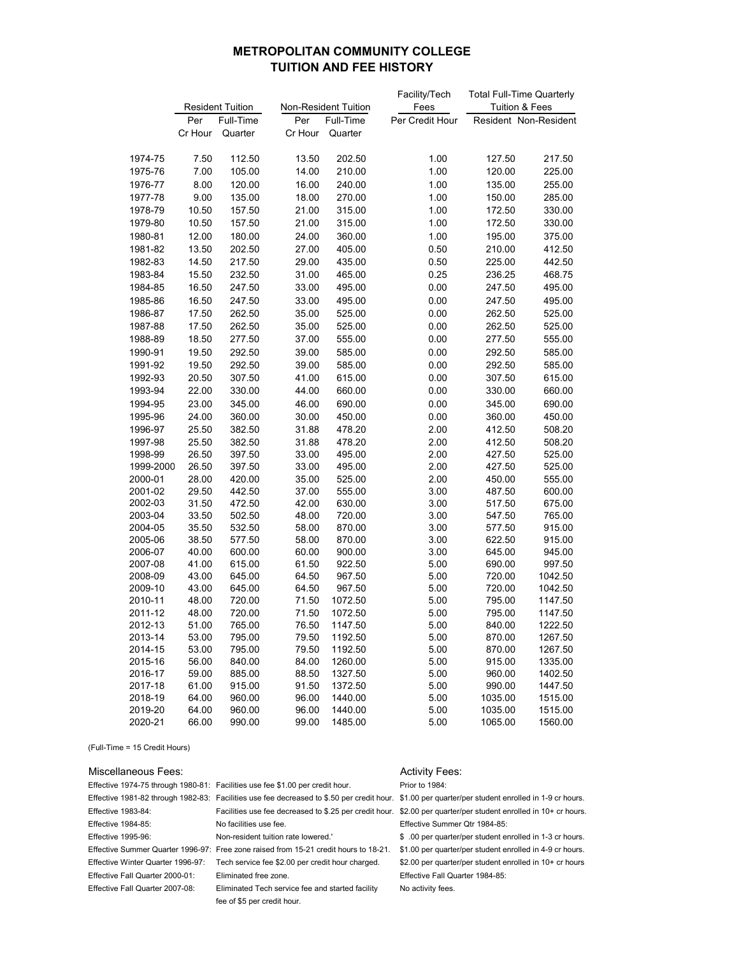# **METROPOLITAN COMMUNITY COLLEGE TUITION AND FEE HISTORY**

|                      |                         |                  |                |                      | Facility/Tech   | <b>Total Full-Time Quarterly</b> |                       |  |  |
|----------------------|-------------------------|------------------|----------------|----------------------|-----------------|----------------------------------|-----------------------|--|--|
|                      | <b>Resident Tuition</b> |                  |                | Non-Resident Tuition | Fees            | <b>Tuition &amp; Fees</b>        |                       |  |  |
|                      | Per                     | Full-Time        | Per            | Full-Time            | Per Credit Hour |                                  | Resident Non-Resident |  |  |
|                      | Cr Hour                 | Quarter          | Cr Hour        | Quarter              |                 |                                  |                       |  |  |
|                      |                         |                  |                |                      |                 |                                  |                       |  |  |
| 1974-75              | 7.50                    | 112.50           | 13.50          | 202.50               | 1.00            | 127.50                           | 217.50                |  |  |
| 1975-76              | 7.00                    | 105.00           | 14.00          | 210.00               | 1.00            | 120.00                           | 225.00                |  |  |
| 1976-77              | 8.00                    | 120.00           | 16.00          | 240.00               | 1.00            | 135.00                           | 255.00                |  |  |
| 1977-78              | 9.00                    | 135.00           | 18.00          | 270.00               | 1.00            | 150.00                           | 285.00                |  |  |
| 1978-79              | 10.50                   | 157.50           | 21.00          | 315.00               | 1.00            | 172.50                           | 330.00                |  |  |
| 1979-80              | 10.50                   | 157.50           | 21.00          | 315.00               | 1.00            | 172.50                           | 330.00                |  |  |
| 1980-81              | 12.00                   | 180.00           | 24.00          | 360.00               | 1.00            | 195.00                           | 375.00                |  |  |
| 1981-82              | 13.50                   | 202.50           | 27.00          | 405.00               | 0.50            | 210.00                           | 412.50                |  |  |
| 1982-83              | 14.50                   | 217.50           | 29.00          | 435.00               | 0.50            | 225.00                           | 442.50                |  |  |
| 1983-84              | 15.50                   | 232.50           | 31.00          | 465.00               | 0.25            | 236.25                           | 468.75                |  |  |
| 1984-85              | 16.50                   | 247.50           | 33.00          | 495.00               | 0.00            | 247.50                           | 495.00                |  |  |
| 1985-86              | 16.50                   | 247.50           | 33.00          | 495.00               | 0.00            | 247.50                           | 495.00                |  |  |
| 1986-87              | 17.50                   | 262.50           | 35.00          | 525.00               | 0.00            | 262.50                           | 525.00                |  |  |
| 1987-88              | 17.50                   | 262.50           | 35.00          | 525.00               | 0.00            | 262.50                           | 525.00                |  |  |
| 1988-89              | 18.50                   | 277.50           | 37.00          | 555.00               | 0.00            | 277.50                           | 555.00                |  |  |
| 1990-91              | 19.50                   | 292.50           | 39.00          | 585.00               | 0.00            | 292.50                           | 585.00                |  |  |
| 1991-92              | 19.50                   | 292.50           | 39.00          | 585.00               | 0.00            | 292.50                           | 585.00                |  |  |
| 1992-93              | 20.50                   | 307.50           | 41.00          | 615.00               | 0.00            | 307.50                           | 615.00                |  |  |
| 1993-94              | 22.00                   | 330.00           | 44.00          | 660.00               | 0.00            | 330.00                           | 660.00                |  |  |
| 1994-95              | 23.00                   | 345.00           | 46.00          | 690.00               | 0.00            | 345.00                           | 690.00                |  |  |
| 1995-96              | 24.00                   | 360.00           | 30.00          | 450.00               | 0.00            |                                  | 450.00                |  |  |
|                      |                         | 382.50           |                |                      |                 | 360.00                           | 508.20                |  |  |
| 1996-97              | 25.50                   |                  | 31.88          | 478.20               | 2.00            | 412.50                           |                       |  |  |
| 1997-98              | 25.50                   | 382.50           | 31.88          | 478.20               | 2.00            | 412.50                           | 508.20                |  |  |
| 1998-99              | 26.50<br>26.50          | 397.50<br>397.50 | 33.00          | 495.00<br>495.00     | 2.00            | 427.50                           | 525.00<br>525.00      |  |  |
| 1999-2000<br>2000-01 | 28.00                   | 420.00           | 33.00<br>35.00 | 525.00               | 2.00<br>2.00    | 427.50<br>450.00                 | 555.00                |  |  |
| 2001-02              | 29.50                   | 442.50           | 37.00          | 555.00               | 3.00            | 487.50                           | 600.00                |  |  |
| 2002-03              | 31.50                   | 472.50           | 42.00          | 630.00               | 3.00            | 517.50                           | 675.00                |  |  |
| 2003-04              | 33.50                   | 502.50           | 48.00          | 720.00               | 3.00            | 547.50                           | 765.00                |  |  |
| 2004-05              | 35.50                   | 532.50           | 58.00          | 870.00               | 3.00            | 577.50                           | 915.00                |  |  |
| 2005-06              | 38.50                   | 577.50           | 58.00          | 870.00               | 3.00            | 622.50                           | 915.00                |  |  |
| 2006-07              | 40.00                   | 600.00           | 60.00          | 900.00               | 3.00            | 645.00                           | 945.00                |  |  |
| 2007-08              | 41.00                   | 615.00           | 61.50          | 922.50               | 5.00            | 690.00                           | 997.50                |  |  |
| 2008-09              | 43.00                   | 645.00           | 64.50          | 967.50               | 5.00            | 720.00                           | 1042.50               |  |  |
| 2009-10              | 43.00                   | 645.00           | 64.50          | 967.50               | 5.00            | 720.00                           | 1042.50               |  |  |
| 2010-11              | 48.00                   | 720.00           | 71.50          | 1072.50              | 5.00            | 795.00                           | 1147.50               |  |  |
| 2011-12              | 48.00                   | 720.00           | 71.50          | 1072.50              | 5.00            | 795.00                           | 1147.50               |  |  |
| 2012-13              | 51.00                   | 765.00           | 76.50          | 1147.50              | 5.00            | 840.00                           | 1222.50               |  |  |
| 2013-14              | 53.00                   | 795.00           | 79.50          | 1192.50              | 5.00            | 870.00                           | 1267.50               |  |  |
| 2014-15              | 53.00                   | 795.00           | 79.50          | 1192.50              | 5.00            | 870.00                           | 1267.50               |  |  |
| 2015-16              | 56.00                   | 840.00           | 84.00          | 1260.00              | 5.00            | 915.00                           | 1335.00               |  |  |
| 2016-17              | 59.00                   | 885.00           | 88.50          | 1327.50              | 5.00            | 960.00                           | 1402.50               |  |  |
| 2017-18              | 61.00                   | 915.00           | 91.50          | 1372.50              | 5.00            | 990.00                           | 1447.50               |  |  |
| 2018-19              | 64.00                   | 960.00           | 96.00          | 1440.00              | 5.00            | 1035.00                          | 1515.00               |  |  |
| 2019-20              | 64.00                   | 960.00           | 96.00          | 1440.00              | 5.00            | 1035.00                          | 1515.00               |  |  |
| 2020-21              | 66.00                   | 990.00           | 99.00          | 1485.00              | 5.00            | 1065.00                          | 1560.00               |  |  |

(Full-Time = 15 Credit Hours)

### Miscellaneous Fees: Activity Fees: Activity Fees:

Effective 1974-75 through 1980-81: Facilities use fee \$1.00 per credit hour. Prior to 1984:

Effective 1981-82 through 1982-83: Facilities use fee decreased to \$.50 per credit hour. \$1.00 per quarter/per student enrolled in 1-9 cr hours. Effective 1984-85: No facilities use fee. Effective Summer Qtr 1984-85: Effective 1995-96: Non-resident tuition rate lowered.' \$ .00 per quarter/per student enrolled in 1-3 cr hours.

Effective Fall Quarter 2000-01: Eliminated free zone. Effective Fall Quarter 1984-85: Effective Fall Quarter 2007-08: Eliminated Tech service fee and started facility No activity fees.

fee of \$5 per credit hour.

Effective 1983-84: Facilities use fee decreased to \$.25 per credit hour. \$2.00 per quarter/per student enrolled in 10+ cr hours.

Effective Summer Quarter 1996-97: Free zone raised from 15-21 credit hours to 18-21. \$1.00 per quarter/per student enrolled in 4-9 cr hours. Effective Winter Quarter 1996-97: Tech service fee \$2.00 per credit hour charged. \$2.00 per quarter/per student enrolled in 10+ cr hours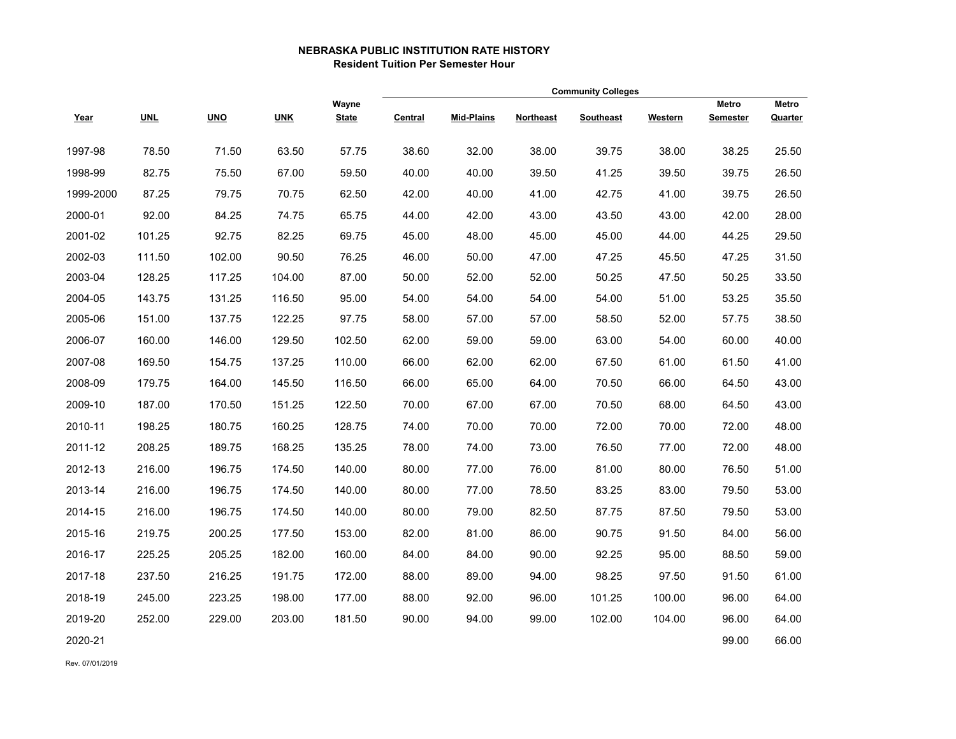## **NEBRASKA PUBLIC INSTITUTION RATE HISTORY Resident Tuition Per Semester Hour**

|           |            |            |            |                       | <b>Community Colleges</b> |                   |           |           |         |                          |                  |
|-----------|------------|------------|------------|-----------------------|---------------------------|-------------------|-----------|-----------|---------|--------------------------|------------------|
| Year      | <b>UNL</b> | <b>UNO</b> | <b>UNK</b> | Wayne<br><b>State</b> | Central                   | <b>Mid-Plains</b> | Northeast | Southeast | Western | Metro<br><b>Semester</b> | Metro<br>Quarter |
| 1997-98   | 78.50      | 71.50      | 63.50      | 57.75                 | 38.60                     | 32.00             | 38.00     | 39.75     | 38.00   | 38.25                    | 25.50            |
| 1998-99   | 82.75      | 75.50      | 67.00      | 59.50                 | 40.00                     | 40.00             | 39.50     | 41.25     | 39.50   | 39.75                    | 26.50            |
| 1999-2000 | 87.25      | 79.75      | 70.75      | 62.50                 | 42.00                     | 40.00             | 41.00     | 42.75     | 41.00   | 39.75                    | 26.50            |
| 2000-01   | 92.00      | 84.25      | 74.75      | 65.75                 | 44.00                     | 42.00             | 43.00     | 43.50     | 43.00   | 42.00                    | 28.00            |
| 2001-02   | 101.25     | 92.75      | 82.25      | 69.75                 | 45.00                     | 48.00             | 45.00     | 45.00     | 44.00   | 44.25                    | 29.50            |
| 2002-03   | 111.50     | 102.00     | 90.50      | 76.25                 | 46.00                     | 50.00             | 47.00     | 47.25     | 45.50   | 47.25                    | 31.50            |
| 2003-04   | 128.25     | 117.25     | 104.00     | 87.00                 | 50.00                     | 52.00             | 52.00     | 50.25     | 47.50   | 50.25                    | 33.50            |
| 2004-05   | 143.75     | 131.25     | 116.50     | 95.00                 | 54.00                     | 54.00             | 54.00     | 54.00     | 51.00   | 53.25                    | 35.50            |
| 2005-06   | 151.00     | 137.75     | 122.25     | 97.75                 | 58.00                     | 57.00             | 57.00     | 58.50     | 52.00   | 57.75                    | 38.50            |
| 2006-07   | 160.00     | 146.00     | 129.50     | 102.50                | 62.00                     | 59.00             | 59.00     | 63.00     | 54.00   | 60.00                    | 40.00            |
| 2007-08   | 169.50     | 154.75     | 137.25     | 110.00                | 66.00                     | 62.00             | 62.00     | 67.50     | 61.00   | 61.50                    | 41.00            |
| 2008-09   | 179.75     | 164.00     | 145.50     | 116.50                | 66.00                     | 65.00             | 64.00     | 70.50     | 66.00   | 64.50                    | 43.00            |
| 2009-10   | 187.00     | 170.50     | 151.25     | 122.50                | 70.00                     | 67.00             | 67.00     | 70.50     | 68.00   | 64.50                    | 43.00            |
| 2010-11   | 198.25     | 180.75     | 160.25     | 128.75                | 74.00                     | 70.00             | 70.00     | 72.00     | 70.00   | 72.00                    | 48.00            |
| 2011-12   | 208.25     | 189.75     | 168.25     | 135.25                | 78.00                     | 74.00             | 73.00     | 76.50     | 77.00   | 72.00                    | 48.00            |
| 2012-13   | 216.00     | 196.75     | 174.50     | 140.00                | 80.00                     | 77.00             | 76.00     | 81.00     | 80.00   | 76.50                    | 51.00            |
| 2013-14   | 216.00     | 196.75     | 174.50     | 140.00                | 80.00                     | 77.00             | 78.50     | 83.25     | 83.00   | 79.50                    | 53.00            |
| 2014-15   | 216.00     | 196.75     | 174.50     | 140.00                | 80.00                     | 79.00             | 82.50     | 87.75     | 87.50   | 79.50                    | 53.00            |
| 2015-16   | 219.75     | 200.25     | 177.50     | 153.00                | 82.00                     | 81.00             | 86.00     | 90.75     | 91.50   | 84.00                    | 56.00            |
| 2016-17   | 225.25     | 205.25     | 182.00     | 160.00                | 84.00                     | 84.00             | 90.00     | 92.25     | 95.00   | 88.50                    | 59.00            |
| 2017-18   | 237.50     | 216.25     | 191.75     | 172.00                | 88.00                     | 89.00             | 94.00     | 98.25     | 97.50   | 91.50                    | 61.00            |
| 2018-19   | 245.00     | 223.25     | 198.00     | 177.00                | 88.00                     | 92.00             | 96.00     | 101.25    | 100.00  | 96.00                    | 64.00            |
| 2019-20   | 252.00     | 229.00     | 203.00     | 181.50                | 90.00                     | 94.00             | 99.00     | 102.00    | 104.00  | 96.00                    | 64.00            |
| 2020-21   |            |            |            |                       |                           |                   |           |           |         | 99.00                    | 66.00            |

Rev. 07/01/2019